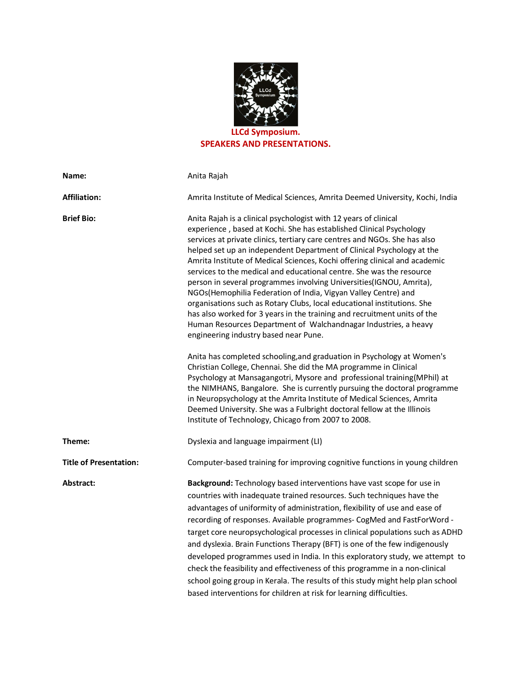

## **SPEAKERS AND PRESENTATIONS.**

| Name:                         | Anita Rajah                                                                                                                                                                                                                                                                                                                                                                                                                                                                                                                                                                                                                                                                                                                                                                                                                                                     |
|-------------------------------|-----------------------------------------------------------------------------------------------------------------------------------------------------------------------------------------------------------------------------------------------------------------------------------------------------------------------------------------------------------------------------------------------------------------------------------------------------------------------------------------------------------------------------------------------------------------------------------------------------------------------------------------------------------------------------------------------------------------------------------------------------------------------------------------------------------------------------------------------------------------|
| <b>Affiliation:</b>           | Amrita Institute of Medical Sciences, Amrita Deemed University, Kochi, India                                                                                                                                                                                                                                                                                                                                                                                                                                                                                                                                                                                                                                                                                                                                                                                    |
| <b>Brief Bio:</b>             | Anita Rajah is a clinical psychologist with 12 years of clinical<br>experience, based at Kochi. She has established Clinical Psychology<br>services at private clinics, tertiary care centres and NGOs. She has also<br>helped set up an independent Department of Clinical Psychology at the<br>Amrita Institute of Medical Sciences, Kochi offering clinical and academic<br>services to the medical and educational centre. She was the resource<br>person in several programmes involving Universities(IGNOU, Amrita),<br>NGOs(Hemophilia Federation of India, Vigyan Valley Centre) and<br>organisations such as Rotary Clubs, local educational institutions. She<br>has also worked for 3 years in the training and recruitment units of the<br>Human Resources Department of Walchandnagar Industries, a heavy<br>engineering industry based near Pune. |
|                               | Anita has completed schooling, and graduation in Psychology at Women's<br>Christian College, Chennai. She did the MA programme in Clinical<br>Psychology at Mansagangotri, Mysore and professional training (MPhil) at<br>the NIMHANS, Bangalore. She is currently pursuing the doctoral programme<br>in Neuropsychology at the Amrita Institute of Medical Sciences, Amrita<br>Deemed University. She was a Fulbright doctoral fellow at the Illinois<br>Institute of Technology, Chicago from 2007 to 2008.                                                                                                                                                                                                                                                                                                                                                   |
| Theme:                        | Dyslexia and language impairment (LI)                                                                                                                                                                                                                                                                                                                                                                                                                                                                                                                                                                                                                                                                                                                                                                                                                           |
| <b>Title of Presentation:</b> | Computer-based training for improving cognitive functions in young children                                                                                                                                                                                                                                                                                                                                                                                                                                                                                                                                                                                                                                                                                                                                                                                     |
| Abstract:                     | Background: Technology based interventions have vast scope for use in<br>countries with inadequate trained resources. Such techniques have the<br>advantages of uniformity of administration, flexibility of use and ease of<br>recording of responses. Available programmes- CogMed and FastForWord -<br>target core neuropsychological processes in clinical populations such as ADHD<br>and dyslexia. Brain Functions Therapy (BFT) is one of the few indigenously<br>developed programmes used in India. In this exploratory study, we attempt to<br>check the feasibility and effectiveness of this programme in a non-clinical<br>school going group in Kerala. The results of this study might help plan school<br>based interventions for children at risk for learning difficulties.                                                                   |